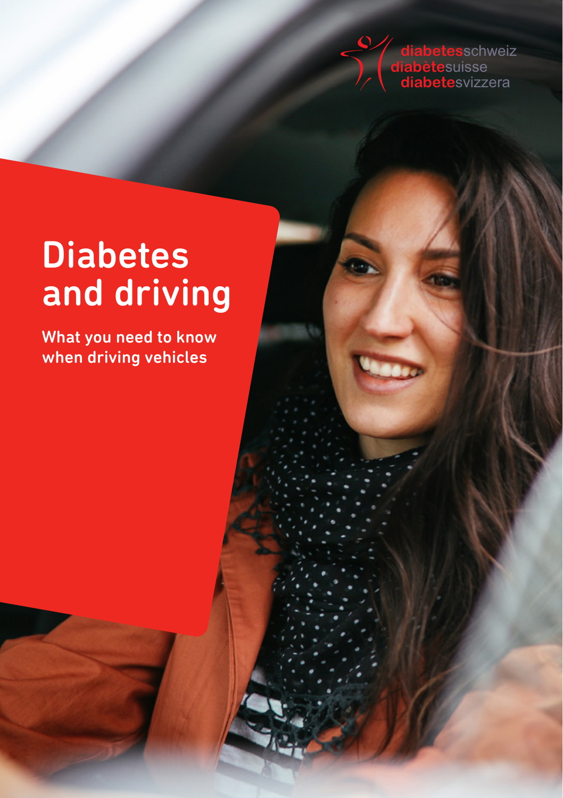schweiz **ète**suisse **e**svizzera

# **Diabetes** and driving

What you need to know when driving vehicles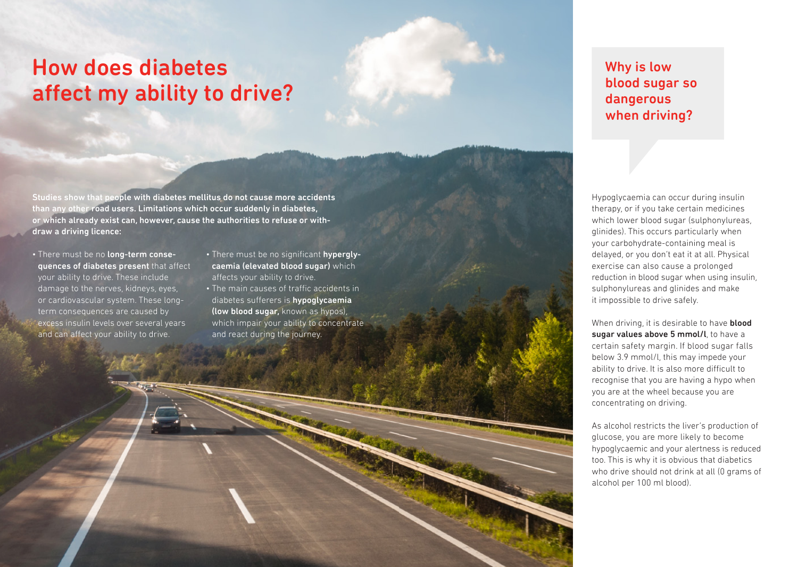## How does diabetes affect my ability to drive?

Studies show that people with diabetes mellitus do not cause more accidents than any other road users. Limitations which occur suddenly in diabetes, or which already exist can, however, cause the authorities to refuse or withdraw a driving licence:

- There must be no long-term consequences of diabetes present that affect your ability to drive. These include damage to the nerves, kidneys, eyes, or cardiovascular system. These longterm consequences are caused by excess insulin levels over several years and can affect your ability to drive.
- There must be no significant hyperglycaemia (elevated blood sugar) which affects your ability to drive.
- The main causes of traffic accidents in diabetes sufferers is hypoglycaemia (low blood sugar, known as hypos), which impair your ability to concentrate and react during the journey.

Why is low blood sugar so dangerous when driving?

Hypoglycaemia can occur during insulin therapy, or if you take certain medicines which lower blood sugar (sulphonylureas, glinides). This occurs particularly when your carbohydrate-containing meal is delayed, or you don't eat it at all. Physical exercise can also cause a prolonged reduction in blood sugar when using insulin, sulphonylureas and glinides and make it impossible to drive safely.

When driving, it is desirable to have **blood** sugar values above 5 mmol/l, to have a certain safety margin. If blood sugar falls below 3.9 mmol/l, this may impede your ability to drive. It is also more difficult to recognise that you are having a hypo when you are at the wheel because you are concentrating on driving.

As alcohol restricts the liver's production of glucose, you are more likely to become hypoglycaemic and your alertness is reduced too. This is why it is obvious that diabetics who drive should not drink at all (0 grams of alcohol per 100 ml blood).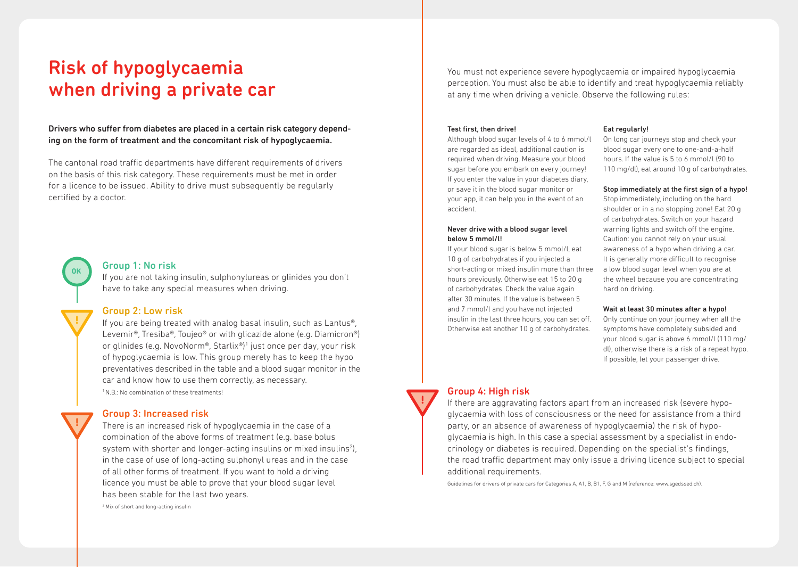### Risk of hypoglycaemia when driving a private car

#### Drivers who suffer from diabetes are placed in a certain risk category depending on the form of treatment and the concomitant risk of hypoglycaemia.

The cantonal road traffic departments have different requirements of drivers on the basis of this risk category. These requirements must be met in order for a licence to be issued. Ability to drive must subsequently be regularly certified by a doctor.



#### Group 1: No risk

If you are not taking insulin, sulphonylureas or glinides you don't have to take any special measures when driving.

#### Group 2: Low risk

If you are being treated with analog basal insulin, such as Lantus®, Levemir®, Tresiba®, Toujeo® or with glicazide alone (e.g. Diamicron®) or glinides (e.g. NovoNorm®, Starlix®)<sup>1</sup> just once per day, your risk of hypoglycaemia is low. This group merely has to keep the hypo preventatives described in the table and a blood sugar monitor in the car and know how to use them correctly, as necessary. 1 N.B.: No combination of these treatments!

#### Group 3: Increased risk

There is an increased risk of hypoglycaemia in the case of a combination of the above forms of treatment (e.g. base bolus system with shorter and longer-acting insulins or mixed insulins<sup>2</sup>), in the case of use of long-acting sulphonyl ureas and in the case of all other forms of treatment. If you want to hold a driving licence you must be able to prove that your blood sugar level has been stable for the last two years.

You must not experience severe hypoglycaemia or impaired hypoglycaemia perception. You must also be able to identify and treat hypoglycaemia reliably at any time when driving a vehicle. Observe the following rules:

#### Test first, then drive!

Although blood sugar levels of 4 to 6 mmol/l are regarded as ideal, additional caution is required when driving. Measure your blood sugar before you embark on every journey! If you enter the value in your diabetes diary, or save it in the blood sugar monitor or your app, it can help you in the event of an accident.

#### Never drive with a blood sugar level below 5 mmol/l!

If your blood sugar is below 5 mmol/l, eat 10 g of carbohydrates if you injected a short-acting or mixed insulin more than three hours previously. Otherwise eat 15 to 20 g of carbohydrates. Check the value again after 30 minutes. If the value is between 5 and 7 mmol/l and you have not injected insulin in the last three hours, you can set off. Otherwise eat another 10 g of carbohydrates.

#### Eat regularly!

On long car journeys stop and check your blood sugar every one to one-and-a-half hours. If the value is 5 to 6 mmol/l (90 to 110 mg/dl), eat around 10 g of carbohydrates.

#### Stop immediately at the first sign of a hypo!

Stop immediately, including on the hard shoulder or in a no stopping zone! Eat 20 g of carbohydrates. Switch on your hazard warning lights and switch off the engine. Caution: you cannot rely on your usual awareness of a hypo when driving a car. It is generally more difficult to recognise a low blood sugar level when you are at the wheel because you are concentrating hard on driving.

#### Wait at least 30 minutes after a hypo!

Only continue on your journey when all the symptoms have completely subsided and your blood sugar is above 6 mmol/l (110 mg/ dl), otherwise there is a risk of a repeat hypo. If possible, let your passenger drive.

#### Group 4: High risk

**!**

If there are aggravating factors apart from an increased risk (severe hypoglycaemia with loss of consciousness or the need for assistance from a third party, or an absence of awareness of hypoglycaemia) the risk of hypoglycaemia is high. In this case a special assessment by a specialist in endocrinology or diabetes is required. Depending on the specialist's findings, the road traffic department may only issue a driving licence subject to special additional requirements.

Guidelines for drivers of private cars for Categories A, A1, B, B1, F, G and M (reference: www.sgedssed.ch).

2 Mix of short and long-acting insulin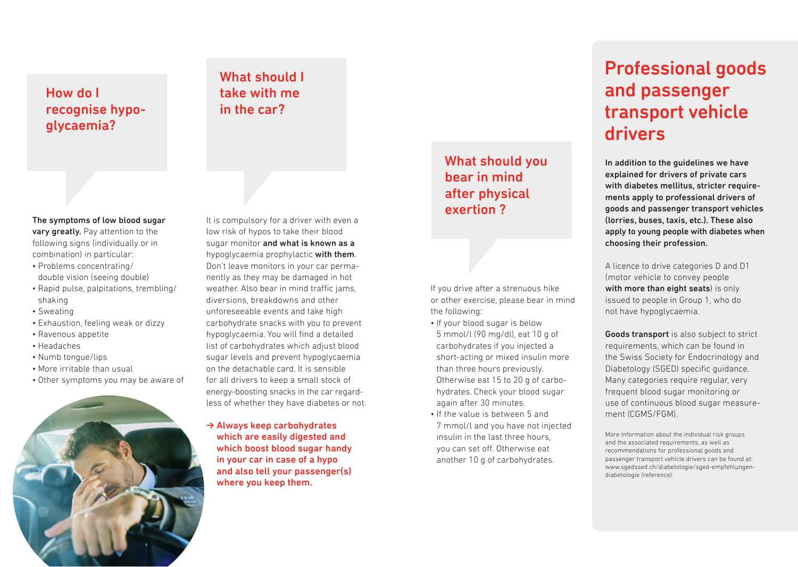### How do I recognise hypoglycaemia?

### What should I take with me in the car?

The symptoms of low blood sugar vary greatly. Pay attention to the following signs (individually or in combination) in particular:

- Problems concentrating/ double vision (seeing double)
- Rapid pulse, palpitations, trembling/ shaking
- Sweating
- Exhaustion, feeling weak or dizzy
- Ravenous appetite
- Headaches
- Numb tongue/lips
- More irritable than usual
- Other symptoms you may be aware of



It is compulsory for a driver with even a low risk of hypos to take their blood sugar monitor and what is known as a hypoglycaemia prophylactic with them. Don't leave monitors in your car permanently as they may be damaged in hot weather. Also bear in mind traffic jams, diversions, breakdowns and other unforeseeable events and take high carbohydrate snacks with you to prevent hypoglycaemia. You will find a detailed list of carbohydrates which adjust blood sugar levels and prevent hypoglycaemia on the detachable card. It is sensible for all drivers to keep a small stock of energy-boosting snacks in the car regardless of whether they have diabetes or not.

**→** Always keep carbohydrates which are easily digested and which boost blood sugar handy in your car in case of a hypo and also tell your passenger(s) where you keep them.

### What should you bear in mind after physical exertion ?

If you drive after a strenuous hike or other exercise, please bear in mind the following:

- If your blood sugar is below 5 mmol/l (90 mg/dl), eat 10 g of carbohydrates if you injected a short-acting or mixed insulin more than three hours previously. Otherwise eat 15 to 20 g of carbohydrates. Check your blood sugar again after 30 minutes.
- If the value is between 5 and 7 mmol/l and you have not injected insulin in the last three hours, you can set off. Otherwise eat another 10 g of carbohydrates.

## Professional goods and passenger transport vehicle drivers

In addition to the guidelines we have explained for drivers of private cars with diabetes mellitus, stricter requirements apply to professional drivers of goods and passenger transport vehicles (lorries, buses, taxis, etc.). These also apply to young people with diabetes when choosing their profession.

A licence to drive categories D and D1 (motor vehicle to convey people with more than eight seats) is only issued to people in Group 1, who do not have hypoglycaemia.

Goods transport is also subject to strict requirements, which can be found in the Swiss Society for Endocrinology and Diabetology (SGED) specific guidance. Many categories require regular, very frequent blood sugar monitoring or use of continuous blood sugar measurement (CGMS/FGM).

More information about the individual risk groups and the associated requirements, as well as recommendations for professional goods and passenger transport vehicle drivers can be found at: www.sgedssed.ch/diabetologie/sged-empfehlungendiabetologie (reference).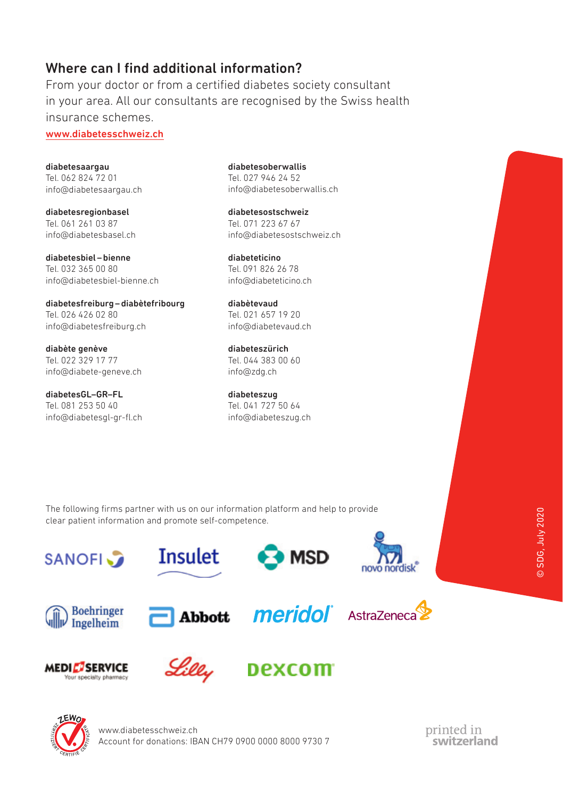#### Where can I find additional information?

From your doctor or from a certified diabetes society consultant in your area. All our consultants are recognised by the Swiss health insurance schemes.

www.diabetesschweiz.ch

diabetesaargau Tel. 062 824 72 01 info@diabetesaargau.ch

diabetesregionbasel Tel. 061 261 03 87 info@diabetesbasel.ch

diabetesbiel–bienne Tel. 032 365 00 80 info@diabetesbiel-bienne.ch

diabetesfreiburg–diabètefribourg Tel. 026 426 02 80 info@diabetesfreiburg.ch

diabète genève Tel. 022 329 17 77 info@diabete-geneve.ch

diabetesGL–GR–FL Tel. 081 253 50 40 info@diabetesgl-gr-fl.ch diabetesoberwallis Tel. 027 946 24 52 info@diabetesoberwallis.ch

diabetesostschweiz Tel. 071 223 67 67 info@diabetesostschweiz.ch

diabeteticino Tel. 091 826 26 78 info@diabeteticino.ch

diabètevaud Tel. 021 657 19 20 info@diabetevaud.ch

diabeteszürich Tel. 044 383 00 60 info@zdg.ch

diabeteszug Tel. 041 727 50 64 info@diabeteszug.ch

The following firms partner with us on our information platform and help to provide clear patient information and promote self-competence.





























www.diabetesschweiz.ch Account for donations: IBAN CH79 0900 0000 8000 9730 7 printed in switzerland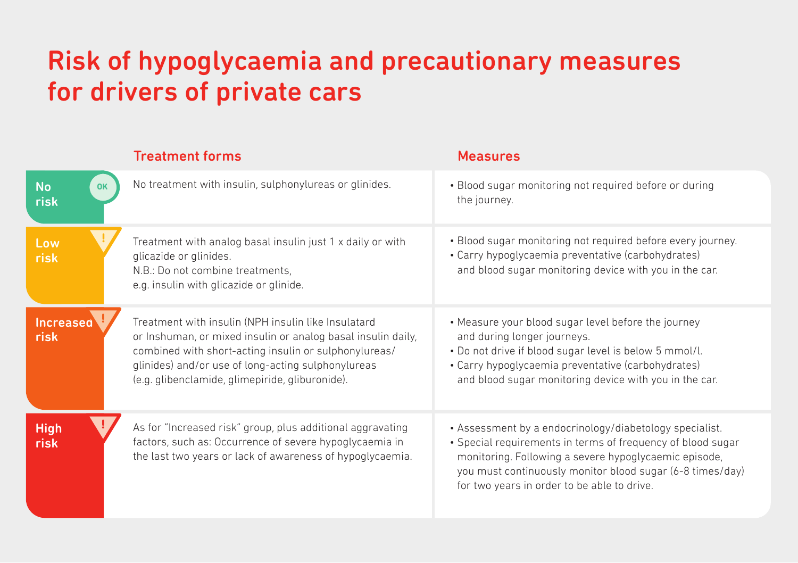### Risk of hypoglycaemia and precautionary measures for drivers of private cars

|                                 | <b>Treatment forms</b>                                                                                                                                                                                                                                                                | <b>Measures</b>                                                                                                                                                                                                                                                                             |
|---------------------------------|---------------------------------------------------------------------------------------------------------------------------------------------------------------------------------------------------------------------------------------------------------------------------------------|---------------------------------------------------------------------------------------------------------------------------------------------------------------------------------------------------------------------------------------------------------------------------------------------|
| <b>No</b><br><b>OK</b><br>risk  | No treatment with insulin, sulphonylureas or glinides.                                                                                                                                                                                                                                | • Blood sugar monitoring not required before or during<br>the journey.                                                                                                                                                                                                                      |
| Low<br>risk                     | Treatment with analog basal insulin just 1 x daily or with<br>glicazide or glinides.<br>N.B.: Do not combine treatments,<br>e.g. insulin with glicazide or glinide.                                                                                                                   | • Blood sugar monitoring not required before every journey.<br>• Carry hypoglycaemia preventative (carbohydrates)<br>and blood sugar monitoring device with you in the car.                                                                                                                 |
| <b>Increased</b><br><b>risk</b> | Treatment with insulin (NPH insulin like Insulatard<br>or Inshuman, or mixed insulin or analog basal insulin daily,<br>combined with short-acting insulin or sulphonylureas/<br>glinides) and/or use of long-acting sulphonylureas<br>(e.g. glibenclamide, glimepiride, gliburonide). | • Measure your blood sugar level before the journey<br>and during longer journeys.<br>. Do not drive if blood sugar level is below 5 mmol/l.<br>• Carry hypoglycaemia preventative (carbohydrates)<br>and blood sugar monitoring device with you in the car.                                |
| <b>High</b><br>risk             | As for "Increased risk" group, plus additional aggravating<br>factors, such as: Occurrence of severe hypoglycaemia in<br>the last two years or lack of awareness of hypoglycaemia.                                                                                                    | • Assessment by a endocrinology/diabetology specialist.<br>• Special requirements in terms of frequency of blood sugar<br>monitoring. Following a severe hypoglycaemic episode,<br>you must continuously monitor blood sugar (6-8 times/day)<br>for two years in order to be able to drive. |